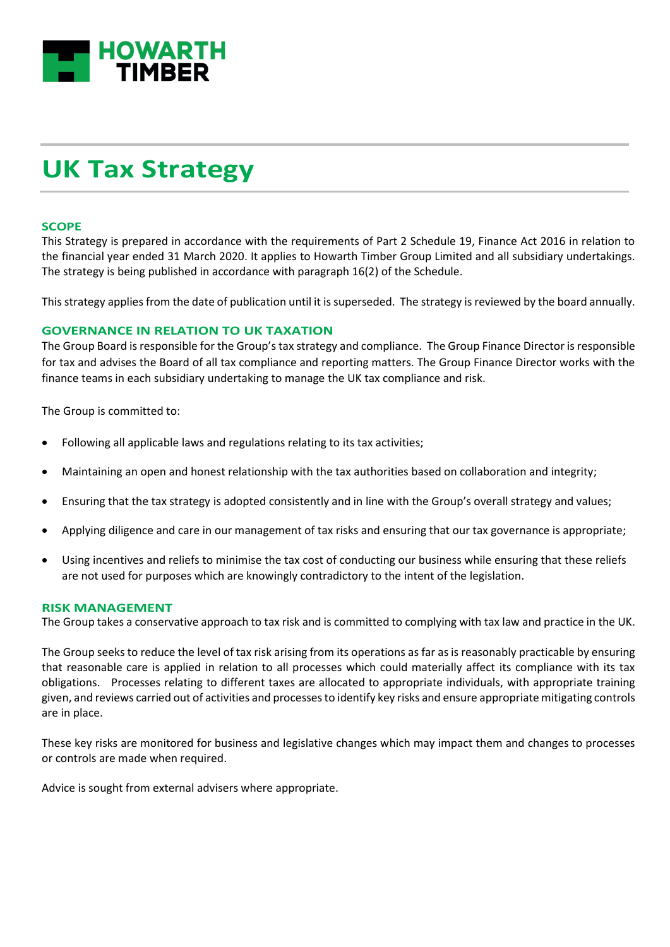

# **UK Tax Strategy**

## **SCOPE**

This Strategy is prepared in accordance with the requirements of Part 2 Schedule 19, Finance Act 2016 in relation to the financial year ended 31 March 2020. It applies to Howarth Timber Group Limited and all subsidiary undertakings. The strategy is being published in accordance with paragraph 16(2) of the Schedule.

This strategy applies from the date of publication until it is superseded. The strategy is reviewed by the board annually.

# **GOVERNANCE IN RELATION TO UK TAXATION**

The Group Board is responsible for the Group's tax strategy and compliance. The Group Finance Director is responsible for tax and advises the Board of all tax compliance and reporting matters. The Group Finance Director works with the finance teams in each subsidiary undertaking to manage the UK tax compliance and risk.

The Group is committed to:

- Following all applicable laws and regulations relating to its tax activities;
- Maintaining an open and honest relationship with the tax authorities based on collaboration and integrity;
- Ensuring that the tax strategy is adopted consistently and in line with the Group's overall strategy and values;
- Applying diligence and care in our management of tax risks and ensuring that our tax governance is appropriate;
- Using incentives and reliefs to minimise the tax cost of conducting our business while ensuring that these reliefs are not used for purposes which are knowingly contradictory to the intent of the legislation.

#### **RISK MANAGEMENT**

The Group takes a conservative approach to tax risk and is committed to complying with tax law and practice in the UK.

The Group seeks to reduce the level of tax risk arising from its operations as far as is reasonably practicable by ensuring that reasonable care is applied in relation to all processes which could materially affect its compliance with its tax obligations. Processes relating to different taxes are allocated to appropriate individuals, with appropriate training given, and reviews carried out of activities and processes to identify key risks and ensure appropriate mitigating controls are in place.

These key risks are monitored for business and legislative changes which may impact them and changes to processes or controls are made when required.

Advice is sought from external advisers where appropriate.